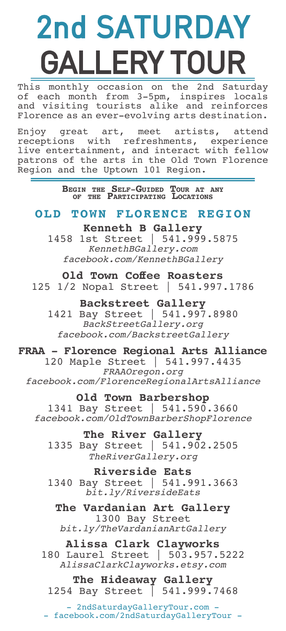# 2nd SATURDAY GALLERY TOUR

This monthly occasion on the 2nd Saturday of each month from 3-5pm, inspires locals and visiting tourists alike and reinforces Florence as an ever-evolving arts destination.

Enjoy great art, meet artists, attend receptions with refreshments, experience live entertainment, and interact with fellow patrons of the arts in the Old Town Florence Region and the Uptown 101 Region.

**Begin the Self-Guided Tour at any of the Participating Locations**

### **OLD TOWN FLORENCE REGION**

### **Kenneth B Gallery**

1458 1st Street | 541.999.5875 *KennethBGallery.com facebook.com/KennethBGallery*

**Old Town Coffee Roasters** 125 1/2 Nopal Street | 541.997.1786

# **Backstreet Gallery**

1421 Bay Street | 541.997.8980 *BackStreetGallery.org facebook.com/BackstreetGallery*

### **FRAA - Florence Regional Arts Alliance**

120 Maple Street | 541.997.4435 *FRAAOregon.org facebook.com/FlorenceRegionalArtsAlliance*

#### **Old Town Barbershop**

1341 Bay Street | 541.590.3660 *facebook.com/OldTownBarberShopFlorence*

**The River Gallery** 1335 Bay Street | 541.902.2505 *TheRiverGallery.org*

**Riverside Eats** 1340 Bay Street | 541.991.3663 *bit.ly/RiversideEats* 

**The Vardanian Art Gallery** 1300 Bay Street *bit.ly/TheVardanianArtGallery*

## **Alissa Clark Clayworks**

180 Laurel Street | 503.957.5222 *AlissaClarkClayworks.etsy.com*

**The Hideaway Gallery** 1254 Bay Street | 541.999.7468

- 2ndSaturdayGalleryTour.com -- facebook.com/2ndSaturdayGalleryTour -